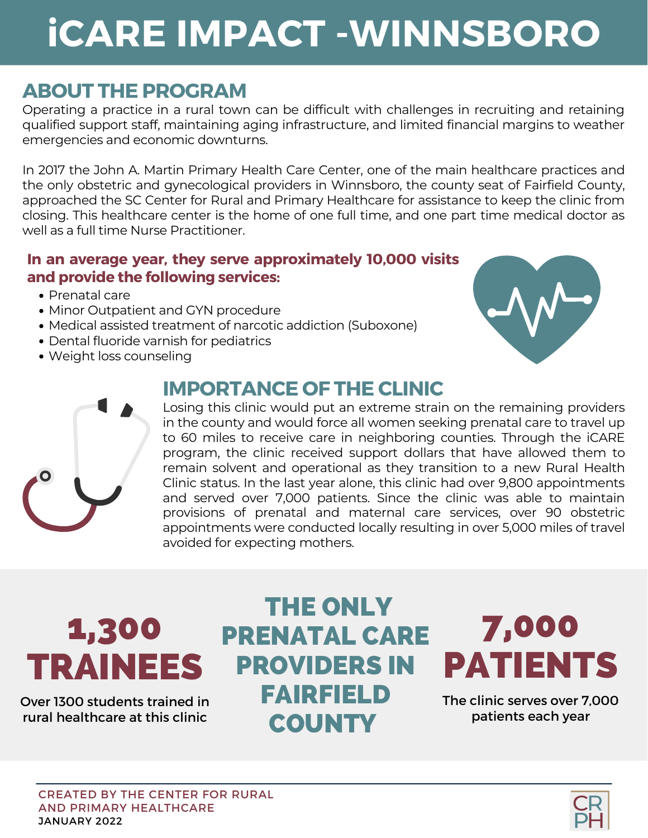# **iCARE IMPACT -WINNSBORO**

### **ABOUT THE PROGRAM**

Operating a practice in a rural town can be difficult with challenges in recruiting and retaining qualified support staff, maintaining aging [infrastructure,](https://www.cdc.gov/nchs/index.htm) and limited financial margins to weather emergencies and economic downturns[.](https://www.cdc.gov/nchs/index.htm)

In 2017 the John A. Martin Primary Health Care Center, one of the main healthcare practices and the only obstetric and [gynecological](https://www.cdc.gov/nchs/index.htm) providers in Winnsboro, the county seat of Fairfield County, approached the SC Center for Rural and Primary Healthcare for assistance to keep the clinic from closing. This healthcare center is the home of one full time, and one part time medical doctor as well as a full time Nurse Practitioner.

#### **In an average year, they serve [approximately](https://www.cdc.gov/nchs/index.htm) 10,000 visits and provide the following services[:](https://www.cdc.gov/nchs/index.htm)**

- [Prenatal](https://www.cdc.gov/nchs/index.htm) car[e](https://www.cdc.gov/nchs/index.htm)
- Minor [Outpatient](https://www.cdc.gov/nchs/index.htm) and GYN procedur[e](https://www.cdc.gov/nchs/index.htm)
- Medical assisted treatment of narcotic addiction [\(Suboxone\)](https://www.cdc.gov/nchs/index.htm)
- Dental fluoride varnish for [pediatrics](https://www.cdc.gov/nchs/index.htm)
- Weight loss [counseling](https://www.cdc.gov/nchs/index.htm)

### **IMPORTANCE OF THE CLINIC**





Losing this clinic would put an extreme strain on the remaining providers in the county and would force all women seeking prenatal care to travel up to 60 miles to receive care in neighboring counties. Through the iCARE program, the clinic received support dollars that have allowed them to remain solvent and operational as they transition to a new Rural Health Clinic status. In the last year alone, this clinic had over 9,800 [appointments](https://www.cdc.gov/nchs/index.htm) and served over 7,000 patients. Since the clinic was able to maintain provisions of prenatal and maternal care services, over 90 obstetric appointments were conducted locally resulting in over 5,000 miles of travel avoided for expecting mothers.

# 1,300 TRAINEES

Over 1300 students trained in rural healthcare at this clinic

## THE ONLY PRENATAL CARE PROVIDERS IN FAIRFIELD **COUNTY**

# 7,000 PATIENTS

The clinic serves over 7,000 patients each year